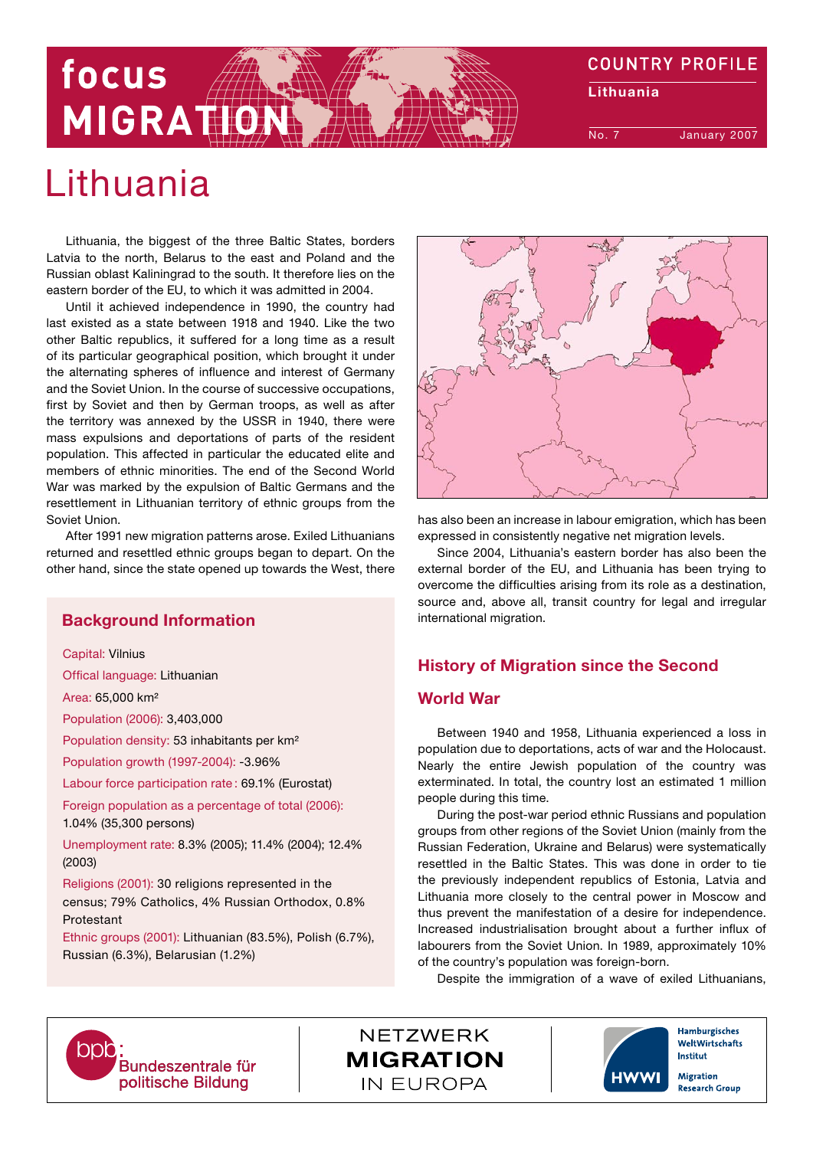# **COUNTRY PROFILE** focus Lithuania MIGRATIC No. 7 January 2007

# Lithuania

Lithuania, the biggest of the three Baltic States, borders Latvia to the north, Belarus to the east and Poland and the Russian oblast Kaliningrad to the south. It therefore lies on the eastern border of the EU, to which it was admitted in 2004.

Until it achieved independence in 1990, the country had last existed as a state between 1918 and 1940. Like the two other Baltic republics, it suffered for a long time as a result of its particular geographical position, which brought it under the alternating spheres of influence and interest of Germany and the Soviet Union. In the course of successive occupations, first by Soviet and then by German troops, as well as after the territory was annexed by the USSR in 1940, there were mass expulsions and deportations of parts of the resident population. This affected in particular the educated elite and members of ethnic minorities. The end of the Second World War was marked by the expulsion of Baltic Germans and the resettlement in Lithuanian territory of ethnic groups from the Soviet Union.

After 1991 new migration patterns arose. Exiled Lithuanians returned and resettled ethnic groups began to depart. On the other hand, since the state opened up towards the West, there

# Background Information

Capital: Vilnius

Offical language: Lithuanian

Area: 65,000 km²

Population (2006): 3,403,000

Population density: 53 inhabitants per km²

Population growth (1997-2004): -3.96%

Labour force participation rate : 69.1% (Eurostat)

Foreign population as a percentage of total (2006): 1.04% (35,300 persons)

Unemployment rate: 8.3% (2005); 11.4% (2004); 12.4% (2003)

Religions (2001): 30 religions represented in the census; 79% Catholics, 4% Russian Orthodox, 0.8% Protestant

Ethnic groups (2001): Lithuanian (83.5%), Polish (6.7%), Russian (6.3%), Belarusian (1.2%)



has also been an increase in labour emigration, which has been expressed in consistently negative net migration levels.

Since 2004, Lithuania's eastern border has also been the external border of the EU, and Lithuania has been trying to overcome the difficulties arising from its role as a destination, source and, above all, transit country for legal and irregular international migration.

# History of Migration since the Second

# World War

Between 1940 and 1958, Lithuania experienced a loss in population due to deportations, acts of war and the Holocaust. Nearly the entire Jewish population of the country was exterminated. In total, the country lost an estimated 1 million people during this time.

During the post-war period ethnic Russians and population groups from other regions of the Soviet Union (mainly from the Russian Federation, Ukraine and Belarus) were systematically resettled in the Baltic States. This was done in order to tie the previously independent republics of Estonia, Latvia and Lithuania more closely to the central power in Moscow and thus prevent the manifestation of a desire for independence. Increased industrialisation brought about a further influx of labourers from the Soviet Union. In 1989, approximately 10% of the country's population was foreign-born.

Despite the immigration of a wave of exiled Lithuanians,



**NETZWERK MIGRATION** IN FUROPA



WeltWirtschafts **Institut** Migration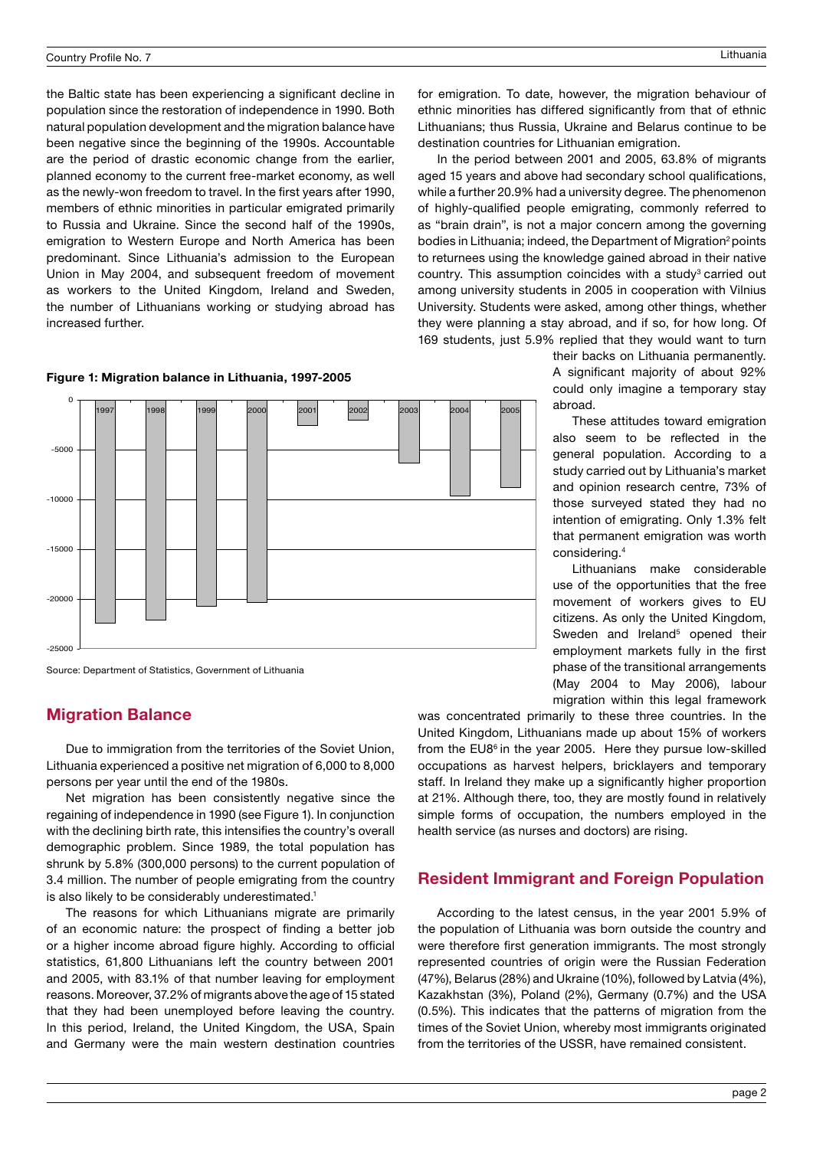the Baltic state has been experiencing a significant decline in population since the restoration of independence in 1990. Both natural population development and the migration balance have been negative since the beginning of the 1990s. Accountable are the period of drastic economic change from the earlier, planned economy to the current free-market economy, as well as the newly-won freedom to travel. In the first years after 1990, members of ethnic minorities in particular emigrated primarily to Russia and Ukraine. Since the second half of the 1990s, emigration to Western Europe and North America has been predominant. Since Lithuania's admission to the European Union in May 2004, and subsequent freedom of movement as workers to the United Kingdom, Ireland and Sweden, the number of Lithuanians working or studying abroad has increased further.

#### Figure 1: Migration balance in Lithuania, 1997-2005



Source: Department of Statistics, Government of Lithuania

# Migration Balance

Due to immigration from the territories of the Soviet Union, Lithuania experienced a positive net migration of 6,000 to 8,000 persons per year until the end of the 1980s.

Net migration has been consistently negative since the regaining of independence in 1990 (see Figure 1). In conjunction with the declining birth rate, this intensifies the country's overall demographic problem. Since 1989, the total population has shrunk by 5.8% (300,000 persons) to the current population of 3.4 million. The number of people emigrating from the country is also likely to be considerably underestimated.<sup>1</sup>

The reasons for which Lithuanians migrate are primarily of an economic nature: the prospect of finding a better job or a higher income abroad figure highly. According to official statistics, 61,800 Lithuanians left the country between 2001 and 2005, with 83.1% of that number leaving for employment reasons. Moreover, 37.2% of migrants above the age of 15 stated that they had been unemployed before leaving the country. In this period, Ireland, the United Kingdom, the USA, Spain and Germany were the main western destination countries for emigration. To date, however, the migration behaviour of ethnic minorities has differed significantly from that of ethnic Lithuanians; thus Russia, Ukraine and Belarus continue to be destination countries for Lithuanian emigration.

In the period between 2001 and 2005, 63.8% of migrants aged 15 years and above had secondary school qualifications, while a further 20.9% had a university degree. The phenomenon of highly-qualified people emigrating, commonly referred to as "brain drain", is not a major concern among the governing bodies in Lithuania; indeed, the Department of Migration<sup>2</sup> points to returnees using the knowledge gained abroad in their native country. This assumption coincides with a study<sup>3</sup> carried out among university students in 2005 in cooperation with Vilnius University. Students were asked, among other things, whether they were planning a stay abroad, and if so, for how long. Of 169 students, just 5.9% replied that they would want to turn

> their backs on Lithuania permanently. A significant majority of about 92% could only imagine a temporary stay abroad.

> These attitudes toward emigration also seem to be reflected in the general population. According to a study carried out by Lithuania's market and opinion research centre, 73% of those surveyed stated they had no intention of emigrating. Only 1.3% felt that permanent emigration was worth considering.4

> Lithuanians make considerable use of the opportunities that the free movement of workers gives to EU citizens. As only the United Kingdom, Sweden and Ireland<sup>5</sup> opened their employment markets fully in the first phase of the transitional arrangements (May 2004 to May 2006), labour migration within this legal framework

was concentrated primarily to these three countries. In the United Kingdom, Lithuanians made up about 15% of workers from the EU8<sup>6</sup> in the year 2005. Here they pursue low-skilled occupations as harvest helpers, bricklayers and temporary staff. In Ireland they make up a significantly higher proportion at 21%. Although there, too, they are mostly found in relatively simple forms of occupation, the numbers employed in the health service (as nurses and doctors) are rising.

# Resident Immigrant and Foreign Population

According to the latest census, in the year 2001 5.9% of the population of Lithuania was born outside the country and were therefore first generation immigrants. The most strongly represented countries of origin were the Russian Federation (47%), Belarus (28%) and Ukraine (10%), followed by Latvia (4%), Kazakhstan (3%), Poland (2%), Germany (0.7%) and the USA (0.5%). This indicates that the patterns of migration from the times of the Soviet Union, whereby most immigrants originated from the territories of the USSR, have remained consistent.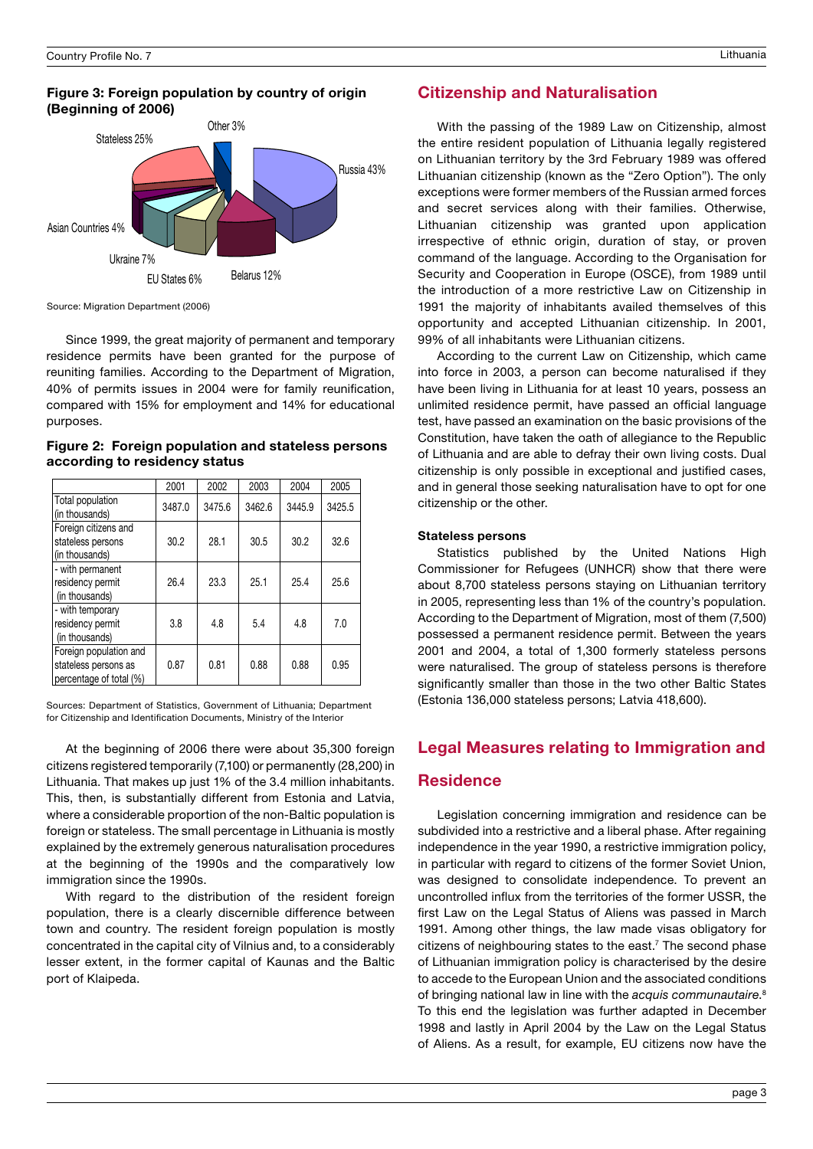#### Figure 3: Foreign population by country of origin (Beginning of 2006)



Source: Migration Department (2006)

Since 1999, the great majority of permanent and temporary residence permits have been granted for the purpose of reuniting families. According to the Department of Migration, 40% of permits issues in 2004 were for family reunification, compared with 15% for employment and 14% for educational purposes.

Figure 2: Foreign population and stateless persons according to residency status

|                                                                           | 2001   | 2002   | 2003   | 2004   | 2005   |
|---------------------------------------------------------------------------|--------|--------|--------|--------|--------|
| Total population<br>(in thousands)                                        | 3487.0 | 3475.6 | 3462.6 | 3445.9 | 3425.5 |
| Foreign citizens and<br>stateless persons<br>(in thousands)               | 30.2   | 28.1   | 30.5   | 30.2   | 32.6   |
| - with permanent<br>residency permit<br>(in thousands)                    | 26.4   | 23.3   | 25.1   | 25.4   | 25.6   |
| - with temporary<br>residency permit<br>(in thousands)                    | 3.8    | 4.8    | 5.4    | 4.8    | 7.0    |
| Foreign population and<br>stateless persons as<br>percentage of total (%) | 0.87   | 0.81   | 0.88   | 0.88   | 0.95   |

Sources: Department of Statistics, Government of Lithuania; Department for Citizenship and Identification Documents, Ministry of the Interior

At the beginning of 2006 there were about 35,300 foreign citizens registered temporarily (7,100) or permanently (28,200) in Lithuania. That makes up just 1% of the 3.4 million inhabitants. This, then, is substantially different from Estonia and Latvia, where a considerable proportion of the non-Baltic population is foreign or stateless. The small percentage in Lithuania is mostly explained by the extremely generous naturalisation procedures at the beginning of the 1990s and the comparatively low immigration since the 1990s.

With regard to the distribution of the resident foreign population, there is a clearly discernible difference between town and country. The resident foreign population is mostly concentrated in the capital city of Vilnius and, to a considerably lesser extent, in the former capital of Kaunas and the Baltic port of Klaipeda.

# Citizenship and Naturalisation

With the passing of the 1989 Law on Citizenship, almost the entire resident population of Lithuania legally registered on Lithuanian territory by the 3rd February 1989 was offered Lithuanian citizenship (known as the "Zero Option"). The only exceptions were former members of the Russian armed forces and secret services along with their families. Otherwise, Lithuanian citizenship was granted upon application irrespective of ethnic origin, duration of stay, or proven command of the language. According to the Organisation for Security and Cooperation in Europe (OSCE), from 1989 until the introduction of a more restrictive Law on Citizenship in 1991 the majority of inhabitants availed themselves of this opportunity and accepted Lithuanian citizenship. In 2001, 99% of all inhabitants were Lithuanian citizens.

According to the current Law on Citizenship, which came into force in 2003, a person can become naturalised if they have been living in Lithuania for at least 10 years, possess an unlimited residence permit, have passed an official language test, have passed an examination on the basic provisions of the Constitution, have taken the oath of allegiance to the Republic of Lithuania and are able to defray their own living costs. Dual citizenship is only possible in exceptional and justified cases, and in general those seeking naturalisation have to opt for one citizenship or the other.

#### Stateless persons

Statistics published by the United Nations High Commissioner for Refugees (UNHCR) show that there were about 8,700 stateless persons staying on Lithuanian territory in 2005, representing less than 1% of the country's population. According to the Department of Migration, most of them (7,500) possessed a permanent residence permit. Between the years 2001 and 2004, a total of 1,300 formerly stateless persons were naturalised. The group of stateless persons is therefore significantly smaller than those in the two other Baltic States (Estonia 136,000 stateless persons; Latvia 418,600).

# Legal Measures relating to Immigration and

#### **Residence**

Legislation concerning immigration and residence can be subdivided into a restrictive and a liberal phase. After regaining independence in the year 1990, a restrictive immigration policy, in particular with regard to citizens of the former Soviet Union, was designed to consolidate independence. To prevent an uncontrolled influx from the territories of the former USSR, the first Law on the Legal Status of Aliens was passed in March 1991. Among other things, the law made visas obligatory for citizens of neighbouring states to the east.7 The second phase of Lithuanian immigration policy is characterised by the desire to accede to the European Union and the associated conditions of bringing national law in line with the acquis communautaire.<sup>8</sup> To this end the legislation was further adapted in December 1998 and lastly in April 2004 by the Law on the Legal Status of Aliens. As a result, for example, EU citizens now have the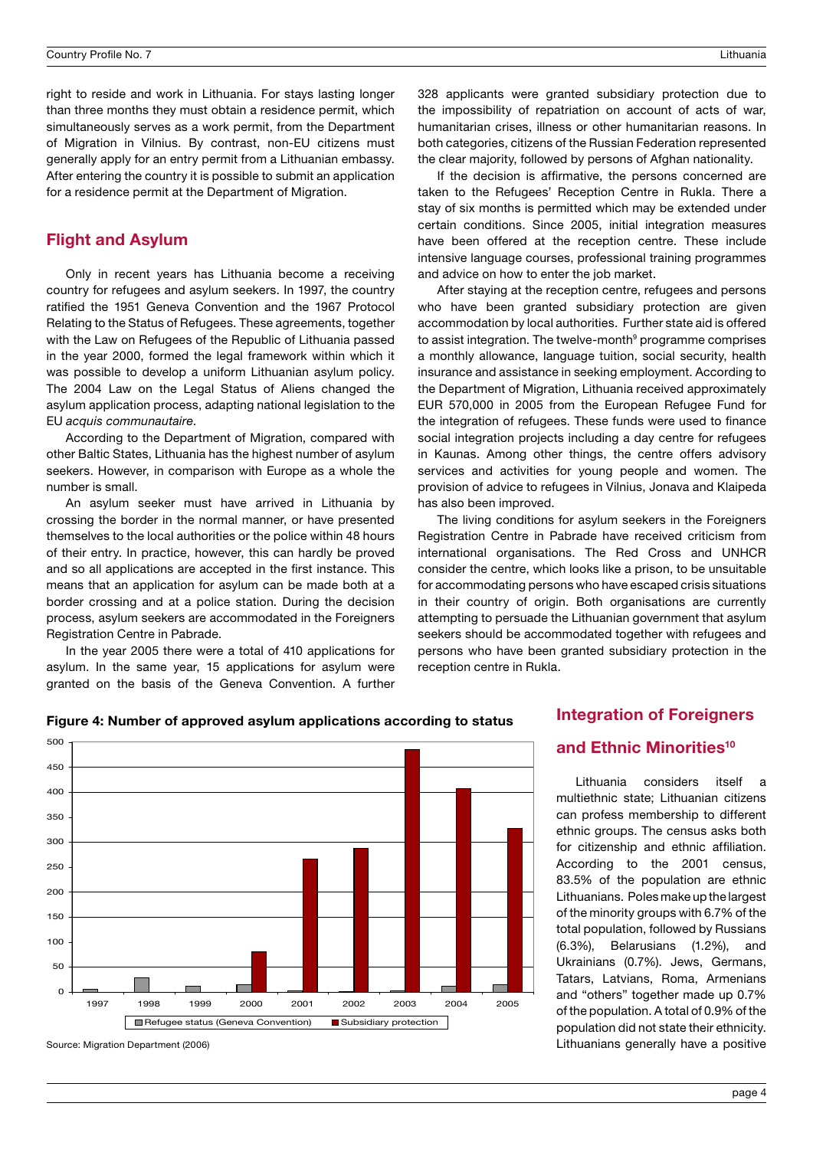right to reside and work in Lithuania. For stays lasting longer than three months they must obtain a residence permit, which simultaneously serves as a work permit, from the Department of Migration in Vilnius. By contrast, non-EU citizens must generally apply for an entry permit from a Lithuanian embassy. After entering the country it is possible to submit an application for a residence permit at the Department of Migration.

# Flight and Asylum

Only in recent years has Lithuania become a receiving country for refugees and asylum seekers. In 1997, the country ratified the 1951 Geneva Convention and the 1967 Protocol Relating to the Status of Refugees. These agreements, together with the Law on Refugees of the Republic of Lithuania passed in the year 2000, formed the legal framework within which it was possible to develop a uniform Lithuanian asylum policy. The 2004 Law on the Legal Status of Aliens changed the asylum application process, adapting national legislation to the EU acquis communautaire.

According to the Department of Migration, compared with other Baltic States, Lithuania has the highest number of asylum seekers. However, in comparison with Europe as a whole the number is small.

An asylum seeker must have arrived in Lithuania by crossing the border in the normal manner, or have presented themselves to the local authorities or the police within 48 hours of their entry. In practice, however, this can hardly be proved and so all applications are accepted in the first instance. This means that an application for asylum can be made both at a border crossing and at a police station. During the decision process, asylum seekers are accommodated in the Foreigners Registration Centre in Pabrade.

In the year 2005 there were a total of 410 applications for asylum. In the same year, 15 applications for asylum were granted on the basis of the Geneva Convention. A further

Source: Migration Department (2006)

328 applicants were granted subsidiary protection due to the impossibility of repatriation on account of acts of war, humanitarian crises, illness or other humanitarian reasons. In both categories, citizens of the Russian Federation represented the clear majority, followed by persons of Afghan nationality.

If the decision is affirmative, the persons concerned are taken to the Refugees' Reception Centre in Rukla. There a stay of six months is permitted which may be extended under certain conditions. Since 2005, initial integration measures have been offered at the reception centre. These include intensive language courses, professional training programmes and advice on how to enter the job market.

After staying at the reception centre, refugees and persons who have been granted subsidiary protection are given accommodation by local authorities. Further state aid is offered to assist integration. The twelve-month<sup>9</sup> programme comprises a monthly allowance, language tuition, social security, health insurance and assistance in seeking employment. According to the Department of Migration, Lithuania received approximately EUR 570,000 in 2005 from the European Refugee Fund for the integration of refugees. These funds were used to finance social integration projects including a day centre for refugees in Kaunas. Among other things, the centre offers advisory services and activities for young people and women. The provision of advice to refugees in Vilnius, Jonava and Klaipeda has also been improved.

The living conditions for asylum seekers in the Foreigners Registration Centre in Pabrade have received criticism from international organisations. The Red Cross and UNHCR consider the centre, which looks like a prison, to be unsuitable for accommodating persons who have escaped crisis situations in their country of origin. Both organisations are currently attempting to persuade the Lithuanian government that asylum seekers should be accommodated together with refugees and persons who have been granted subsidiary protection in the reception centre in Rukla.



Figure 4: Number of approved asylum applications according to status

# Integration of Foreigners and Ethnic Minorities<sup>10</sup>

Lithuania considers itself a multiethnic state; Lithuanian citizens can profess membership to different ethnic groups. The census asks both for citizenship and ethnic affiliation. According to the 2001 census, 83.5% of the population are ethnic Lithuanians. Poles make up the largest of the minority groups with 6.7% of the total population, followed by Russians (6.3%), Belarusians (1.2%), and Ukrainians (0.7%). Jews, Germans, Tatars, Latvians, Roma, Armenians and "others" together made up 0.7% of the population. A total of 0.9% of the population did not state their ethnicity. Lithuanians generally have a positive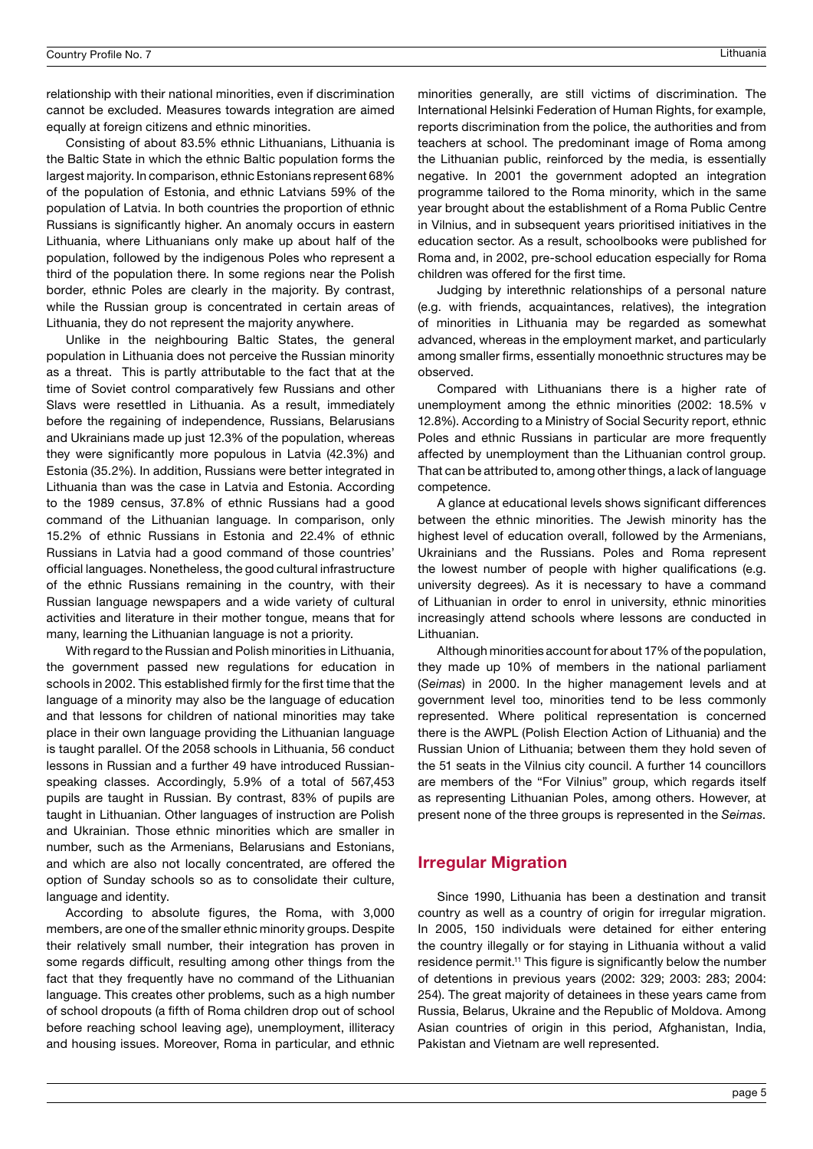relationship with their national minorities, even if discrimination cannot be excluded. Measures towards integration are aimed equally at foreign citizens and ethnic minorities.

Consisting of about 83.5% ethnic Lithuanians, Lithuania is the Baltic State in which the ethnic Baltic population forms the largest majority. In comparison, ethnic Estonians represent 68% of the population of Estonia, and ethnic Latvians 59% of the population of Latvia. In both countries the proportion of ethnic Russians is significantly higher. An anomaly occurs in eastern Lithuania, where Lithuanians only make up about half of the population, followed by the indigenous Poles who represent a third of the population there. In some regions near the Polish border, ethnic Poles are clearly in the majority. By contrast, while the Russian group is concentrated in certain areas of Lithuania, they do not represent the majority anywhere.

Unlike in the neighbouring Baltic States, the general population in Lithuania does not perceive the Russian minority as a threat. This is partly attributable to the fact that at the time of Soviet control comparatively few Russians and other Slavs were resettled in Lithuania. As a result, immediately before the regaining of independence, Russians, Belarusians and Ukrainians made up just 12.3% of the population, whereas they were significantly more populous in Latvia (42.3%) and Estonia (35.2%). In addition, Russians were better integrated in Lithuania than was the case in Latvia and Estonia. According to the 1989 census, 37.8% of ethnic Russians had a good command of the Lithuanian language. In comparison, only 15.2% of ethnic Russians in Estonia and 22.4% of ethnic Russians in Latvia had a good command of those countries' official languages. Nonetheless, the good cultural infrastructure of the ethnic Russians remaining in the country, with their Russian language newspapers and a wide variety of cultural activities and literature in their mother tongue, means that for many, learning the Lithuanian language is not a priority.

With regard to the Russian and Polish minorities in Lithuania, the government passed new regulations for education in schools in 2002. This established firmly for the first time that the language of a minority may also be the language of education and that lessons for children of national minorities may take place in their own language providing the Lithuanian language is taught parallel. Of the 2058 schools in Lithuania, 56 conduct lessons in Russian and a further 49 have introduced Russianspeaking classes. Accordingly, 5.9% of a total of 567,453 pupils are taught in Russian. By contrast, 83% of pupils are taught in Lithuanian. Other languages of instruction are Polish and Ukrainian. Those ethnic minorities which are smaller in number, such as the Armenians, Belarusians and Estonians, and which are also not locally concentrated, are offered the option of Sunday schools so as to consolidate their culture, language and identity.

According to absolute figures, the Roma, with 3,000 members, are one of the smaller ethnic minority groups. Despite their relatively small number, their integration has proven in some regards difficult, resulting among other things from the fact that they frequently have no command of the Lithuanian language. This creates other problems, such as a high number of school dropouts (a fifth of Roma children drop out of school before reaching school leaving age), unemployment, illiteracy and housing issues. Moreover, Roma in particular, and ethnic

minorities generally, are still victims of discrimination. The International Helsinki Federation of Human Rights, for example, reports discrimination from the police, the authorities and from teachers at school. The predominant image of Roma among the Lithuanian public, reinforced by the media, is essentially negative. In 2001 the government adopted an integration programme tailored to the Roma minority, which in the same year brought about the establishment of a Roma Public Centre in Vilnius, and in subsequent years prioritised initiatives in the education sector. As a result, schoolbooks were published for Roma and, in 2002, pre-school education especially for Roma children was offered for the first time.

Judging by interethnic relationships of a personal nature (e.g. with friends, acquaintances, relatives), the integration of minorities in Lithuania may be regarded as somewhat advanced, whereas in the employment market, and particularly among smaller firms, essentially monoethnic structures may be observed.

Compared with Lithuanians there is a higher rate of unemployment among the ethnic minorities (2002: 18.5% v 12.8%). According to a Ministry of Social Security report, ethnic Poles and ethnic Russians in particular are more frequently affected by unemployment than the Lithuanian control group. That can be attributed to, among other things, a lack of language competence.

A glance at educational levels shows significant differences between the ethnic minorities. The Jewish minority has the highest level of education overall, followed by the Armenians, Ukrainians and the Russians. Poles and Roma represent the lowest number of people with higher qualifications (e.g. university degrees). As it is necessary to have a command of Lithuanian in order to enrol in university, ethnic minorities increasingly attend schools where lessons are conducted in Lithuanian.

Although minorities account for about 17% of the population, they made up 10% of members in the national parliament (Seimas) in 2000. In the higher management levels and at government level too, minorities tend to be less commonly represented. Where political representation is concerned there is the AWPL (Polish Election Action of Lithuania) and the Russian Union of Lithuania; between them they hold seven of the 51 seats in the Vilnius city council. A further 14 councillors are members of the "For Vilnius" group, which regards itself as representing Lithuanian Poles, among others. However, at present none of the three groups is represented in the Seimas.

# Irregular Migration

Since 1990, Lithuania has been a destination and transit country as well as a country of origin for irregular migration. In 2005, 150 individuals were detained for either entering the country illegally or for staying in Lithuania without a valid residence permit.<sup>11</sup> This figure is significantly below the number of detentions in previous years (2002: 329; 2003: 283; 2004: 254). The great majority of detainees in these years came from Russia, Belarus, Ukraine and the Republic of Moldova. Among Asian countries of origin in this period, Afghanistan, India, Pakistan and Vietnam are well represented.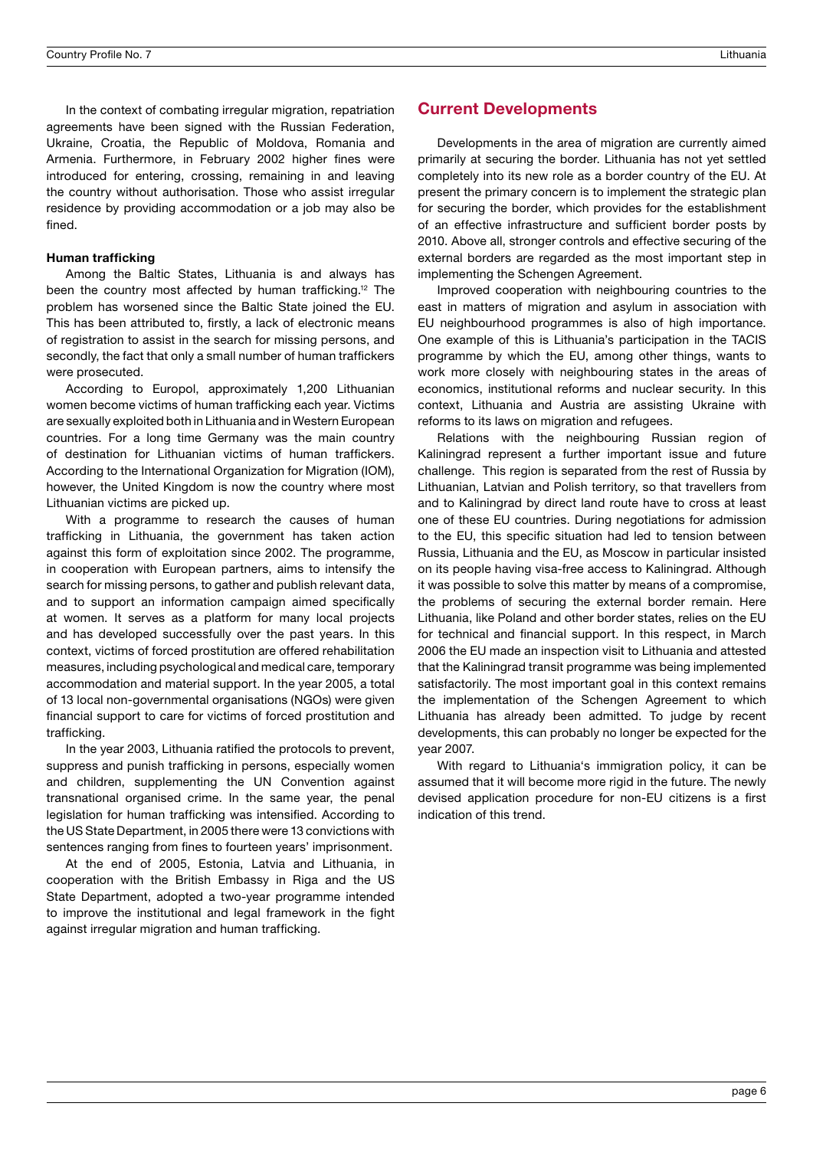In the context of combating irregular migration, repatriation agreements have been signed with the Russian Federation, Ukraine, Croatia, the Republic of Moldova, Romania and Armenia. Furthermore, in February 2002 higher fines were introduced for entering, crossing, remaining in and leaving the country without authorisation. Those who assist irregular residence by providing accommodation or a job may also be fined.

#### Human trafficking

Among the Baltic States, Lithuania is and always has been the country most affected by human trafficking.<sup>12</sup> The problem has worsened since the Baltic State joined the EU. This has been attributed to, firstly, a lack of electronic means of registration to assist in the search for missing persons, and secondly, the fact that only a small number of human traffickers were prosecuted.

According to Europol, approximately 1,200 Lithuanian women become victims of human trafficking each year. Victims are sexually exploited both in Lithuania and in Western European countries. For a long time Germany was the main country of destination for Lithuanian victims of human traffickers. According to the International Organization for Migration (IOM), however, the United Kingdom is now the country where most Lithuanian victims are picked up.

With a programme to research the causes of human trafficking in Lithuania, the government has taken action against this form of exploitation since 2002. The programme, in cooperation with European partners, aims to intensify the search for missing persons, to gather and publish relevant data, and to support an information campaign aimed specifically at women. It serves as a platform for many local projects and has developed successfully over the past years. In this context, victims of forced prostitution are offered rehabilitation measures, including psychological and medical care, temporary accommodation and material support. In the year 2005, a total of 13 local non-governmental organisations (NGOs) were given financial support to care for victims of forced prostitution and trafficking.

In the year 2003, Lithuania ratified the protocols to prevent, suppress and punish trafficking in persons, especially women and children, supplementing the UN Convention against transnational organised crime. In the same year, the penal legislation for human trafficking was intensified. According to the US State Department, in 2005 there were 13 convictions with sentences ranging from fines to fourteen years' imprisonment.

At the end of 2005, Estonia, Latvia and Lithuania, in cooperation with the British Embassy in Riga and the US State Department, adopted a two-year programme intended to improve the institutional and legal framework in the fight against irregular migration and human trafficking.

#### Current Developments

Developments in the area of migration are currently aimed primarily at securing the border. Lithuania has not yet settled completely into its new role as a border country of the EU. At present the primary concern is to implement the strategic plan for securing the border, which provides for the establishment of an effective infrastructure and sufficient border posts by 2010. Above all, stronger controls and effective securing of the external borders are regarded as the most important step in implementing the Schengen Agreement.

Improved cooperation with neighbouring countries to the east in matters of migration and asylum in association with EU neighbourhood programmes is also of high importance. One example of this is Lithuania's participation in the TACIS programme by which the EU, among other things, wants to work more closely with neighbouring states in the areas of economics, institutional reforms and nuclear security. In this context, Lithuania and Austria are assisting Ukraine with reforms to its laws on migration and refugees.

Relations with the neighbouring Russian region of Kaliningrad represent a further important issue and future challenge. This region is separated from the rest of Russia by Lithuanian, Latvian and Polish territory, so that travellers from and to Kaliningrad by direct land route have to cross at least one of these EU countries. During negotiations for admission to the EU, this specific situation had led to tension between Russia, Lithuania and the EU, as Moscow in particular insisted on its people having visa-free access to Kaliningrad. Although it was possible to solve this matter by means of a compromise, the problems of securing the external border remain. Here Lithuania, like Poland and other border states, relies on the EU for technical and financial support. In this respect, in March 2006 the EU made an inspection visit to Lithuania and attested that the Kaliningrad transit programme was being implemented satisfactorily. The most important goal in this context remains the implementation of the Schengen Agreement to which Lithuania has already been admitted. To judge by recent developments, this can probably no longer be expected for the year 2007.

With regard to Lithuania's immigration policy, it can be assumed that it will become more rigid in the future. The newly devised application procedure for non-EU citizens is a first indication of this trend.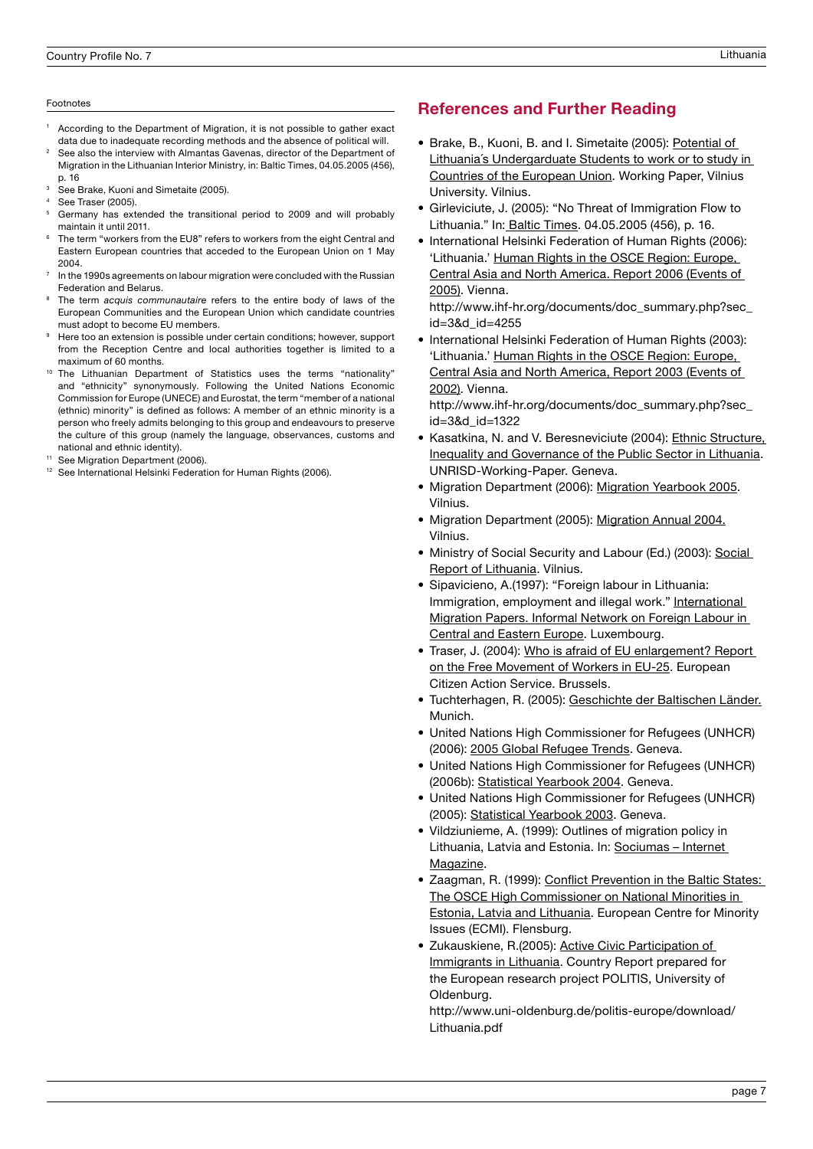#### Footnotes

- According to the Department of Migration, it is not possible to gather exact data due to inadequate recording methods and the absence of political will.
- See also the interview with Almantas Gavenas, director of the Department of Migration in the Lithuanian Interior Ministry, in: Baltic Times, 04.05.2005 (456), p. 16
- See Brake, Kuoni and Simetaite (2005).
- See Traser (2005).
- <sup>5</sup> Germany has extended the transitional period to 2009 and will probably maintain it until 2011.
- The term "workers from the EU8" refers to workers from the eight Central and Eastern European countries that acceded to the European Union on 1 May 2004.
- In the 1990s agreements on labour migration were concluded with the Russian Federation and Belarus.
- The term *acquis communautaire* refers to the entire body of laws of the European Communities and the European Union which candidate countries must adopt to become EU members.
- Here too an extension is possible under certain conditions; however, support from the Reception Centre and local authorities together is limited to a maximum of 60 months.
- The Lithuanian Department of Statistics uses the terms "nationality" and "ethnicity" synonymously. Following the United Nations Economic Commission for Europe (UNECE) and Eurostat, the term "member of a national (ethnic) minority" is defined as follows: A member of an ethnic minority is a person who freely admits belonging to this group and endeavours to preserve the culture of this group (namely the language, observances, customs and national and ethnic identity).
- See Migration Department (2006).
- <sup>12</sup> See International Helsinki Federation for Human Rights (2006).

# References and Further Reading

- Brake, B., Kuoni, B. and I. Simetaite (2005): Potential of Lithuania´s Undergarduate Students to work or to study in Countries of the European Union. Working Paper, Vilnius University. Vilnius.
- Girleviciute, J. (2005): "No Threat of Immigration Flow to Lithuania." In: Baltic Times. 04.05.2005 (456), p. 16.
- International Helsinki Federation of Human Rights (2006): 'Lithuania.' Human Rights in the OSCE Region: Europe, Central Asia and North America. Report 2006 (Events of 2005). Vienna.

http://www.ihf-hr.org/documents/doc\_summary.php?sec\_ id=3&d\_id=4255

• International Helsinki Federation of Human Rights (2003): 'Lithuania.' Human Rights in the OSCE Region: Europe, Central Asia and North America, Report 2003 (Events of 2002). Vienna.

http://www.ihf-hr.org/documents/doc\_summary.php?sec\_ id=3&d\_id=1322

- Kasatkina, N. and V. Beresneviciute (2004): Ethnic Structure, Inequality and Governance of the Public Sector in Lithuania. UNRISD-Working-Paper. Geneva.
- Migration Department (2006): Migration Yearbook 2005. Vilnius.
- Migration Department (2005): Migration Annual 2004. Vilnius.
- Ministry of Social Security and Labour (Ed.) (2003): Social Report of Lithuania. Vilnius.
- Sipavicieno, A.(1997): "Foreign labour in Lithuania: Immigration, employment and illegal work." International Migration Papers. Informal Network on Foreign Labour in Central and Eastern Europe. Luxembourg.
- Traser, J. (2004): Who is afraid of EU enlargement? Report on the Free Movement of Workers in EU-25. European Citizen Action Service. Brussels.
- Tuchterhagen, R. (2005): Geschichte der Baltischen Länder. Munich.
- United Nations High Commissioner for Refugees (UNHCR) (2006): 2005 Global Refugee Trends. Geneva.
- United Nations High Commissioner for Refugees (UNHCR) (2006b): Statistical Yearbook 2004. Geneva.
- United Nations High Commissioner for Refugees (UNHCR) (2005): Statistical Yearbook 2003. Geneva.
- Vildziunieme, A. (1999): Outlines of migration policy in Lithuania, Latvia and Estonia. In: Sociumas - Internet Magazine.
- Zaagman, R. (1999): Conflict Prevention in the Baltic States: The OSCE High Commissioner on National Minorities in Estonia, Latvia and Lithuania. European Centre for Minority Issues (ECMI). Flensburg.
- Zukauskiene, R.(2005): Active Civic Participation of Immigrants in Lithuania. Country Report prepared for the European research project POLITIS, University of Oldenburg. •

http://www.uni-oldenburg.de/politis-europe/download/ Lithuania.pdf